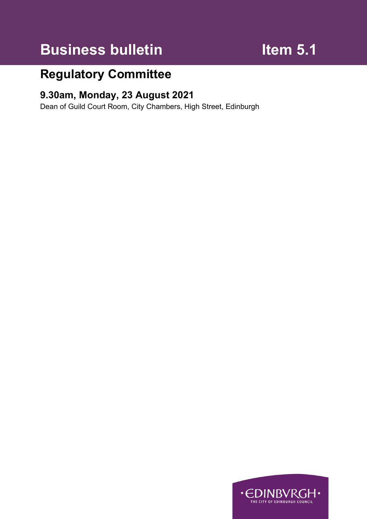# **Business bulletin Item 5.1**

# **Regulatory Committee**

# **9.30am, Monday, 23 August 2021**

Dean of Guild Court Room, City Chambers, High Street, Edinburgh

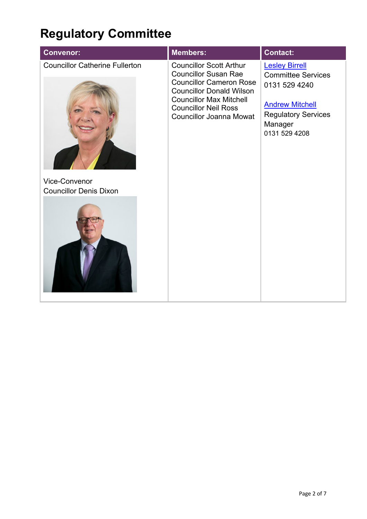# **Regulatory Committee**

|                                                                                                                                                                                                                                                                                                                                                                                                | <b>Convenor:</b>                      | <b>Members:</b>                | <b>Contact:</b>       |
|------------------------------------------------------------------------------------------------------------------------------------------------------------------------------------------------------------------------------------------------------------------------------------------------------------------------------------------------------------------------------------------------|---------------------------------------|--------------------------------|-----------------------|
| <b>Councillor Susan Rae</b><br><b>Committee Services</b><br><b>Councillor Cameron Rose</b><br>0131 529 4240<br><b>Councillor Donald Wilson</b><br><b>Councillor Max Mitchell</b><br><b>Andrew Mitchell</b><br><b>Councillor Neil Ross</b><br><b>Regulatory Services</b><br><b>Councillor Joanna Mowat</b><br>Manager<br>0131 529 4208<br><b>Vice-Convenor</b><br><b>Councillor Denis Dixon</b> | <b>Councillor Catherine Fullerton</b> | <b>Councillor Scott Arthur</b> | <b>Lesley Birrell</b> |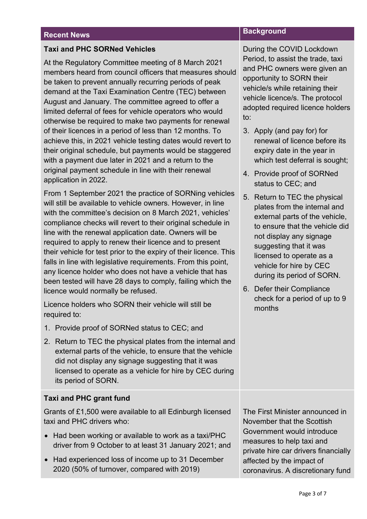### **Taxi and PHC SORNed Vehicles**

At the Regulatory Committee meeting of 8 March 2021 members heard from council officers that measures should be taken to prevent annually recurring periods of peak demand at the Taxi Examination Centre (TEC) between August and January. The committee agreed to offer a limited deferral of fees for vehicle operators who would otherwise be required to make two payments for renewal of their licences in a period of less than 12 months. To achieve this, in 2021 vehicle testing dates would revert to their original schedule, but payments would be staggered with a payment due later in 2021 and a return to the original payment schedule in line with their renewal application in 2022.

From 1 September 2021 the practice of SORNing vehicles will still be available to vehicle owners. However, in line with the committee's decision on 8 March 2021, vehicles' compliance checks will revert to their original schedule in line with the renewal application date. Owners will be required to apply to renew their licence and to present their vehicle for test prior to the expiry of their licence. This falls in line with legislative requirements. From this point, any licence holder who does not have a vehicle that has been tested will have 28 days to comply, failing which the licence would normally be refused.

Licence holders who SORN their vehicle will still be required to:

- 1. Provide proof of SORNed status to CEC; and
- 2. Return to TEC the physical plates from the internal and external parts of the vehicle, to ensure that the vehicle did not display any signage suggesting that it was licensed to operate as a vehicle for hire by CEC during its period of SORN.

## **Taxi and PHC grant fund**

Grants of £1,500 were available to all Edinburgh licensed taxi and PHC drivers who:

- Had been working or available to work as a taxi/PHC driver from 9 October to at least 31 January 2021; and
- Had experienced loss of income up to 31 December 2020 (50% of turnover, compared with 2019)

# **Recent News Background**

During the COVID Lockdown Period, to assist the trade, taxi and PHC owners were given an opportunity to SORN their vehicle/s while retaining their vehicle licence/s. The protocol adopted required licence holders to:

- 3. Apply (and pay for) for renewal of licence before its expiry date in the year in which test deferral is sought:
- 4. Provide proof of SORNed status to CEC; and
- 5. Return to TEC the physical plates from the internal and external parts of the vehicle, to ensure that the vehicle did not display any signage suggesting that it was licensed to operate as a vehicle for hire by CEC during its period of SORN.
- 6. Defer their Compliance check for a period of up to 9 months

The First Minister announced in November that the Scottish Government would introduce measures to help taxi and private hire car drivers financially affected by the impact of coronavirus. A discretionary fund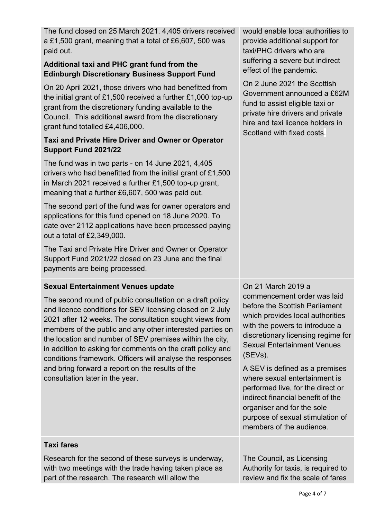The fund closed on 25 March 2021. 4,405 drivers received a £1,500 grant, meaning that a total of £6,607, 500 was paid out.

# **Additional taxi and PHC grant fund from the Edinburgh Discretionary Business Support Fund**

On 20 April 2021, those drivers who had benefitted from the initial grant of £1,500 received a further £1,000 top-up grant from the discretionary funding available to the Council. This additional award from the discretionary grant fund totalled £4,406,000.

# **Taxi and Private Hire Driver and Owner or Operator Support Fund 2021/22**

The fund was in two parts - on 14 June 2021, 4,405 drivers who had benefitted from the initial grant of £1,500 in March 2021 received a further £1,500 top-up grant, meaning that a further £6,607, 500 was paid out.

The second part of the fund was for owner operators and applications for this fund opened on 18 June 2020. To date over 2112 applications have been processed paying out a total of £2,349,000.

The Taxi and Private Hire Driver and Owner or Operator Support Fund 2021/22 closed on 23 June and the final payments are being processed.

# **Sexual Entertainment Venues update**

The second round of public consultation on a draft policy and licence conditions for SEV licensing closed on 2 July 2021 after 12 weeks. The consultation sought views from members of the public and any other interested parties on the location and number of SEV premises within the city, in addition to asking for comments on the draft policy and conditions framework. Officers will analyse the responses and bring forward a report on the results of the consultation later in the year.

would enable local authorities to provide additional support for taxi/PHC drivers who are suffering a severe but indirect effect of the pandemic.

On 2 June 2021 the Scottish Government announced a £62M fund to assist eligible taxi or private hire drivers and private hire and taxi licence holders in Scotland with fixed costs.

On 21 March 2019 a commencement order was laid before the Scottish Parliament which provides local authorities with the powers to introduce a discretionary licensing regime for Sexual Entertainment Venues (SEVs).

A SEV is defined as a premises where sexual entertainment is performed live, for the direct or indirect financial benefit of the organiser and for the sole purpose of sexual stimulation of members of the audience.

## **Taxi fares**

Research for the second of these surveys is underway, with two meetings with the trade having taken place as part of the research. The research will allow the

The Council, as Licensing Authority for taxis, is required to review and fix the scale of fares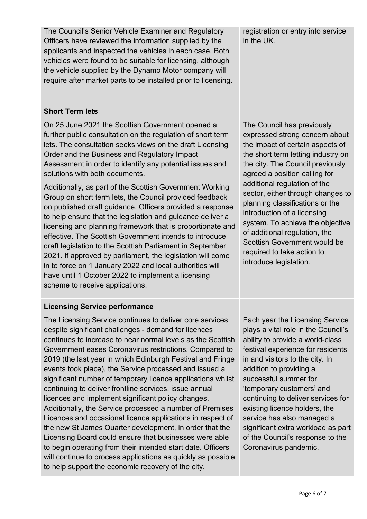The Council's Senior Vehicle Examiner and Regulatory Officers have reviewed the information supplied by the applicants and inspected the vehicles in each case. Both vehicles were found to be suitable for licensing, although the vehicle supplied by the Dynamo Motor company will require after market parts to be installed prior to licensing. registration or entry into service in the UK.

## **Short Term lets**

On 25 June 2021 the Scottish Government opened a further public consultation on the regulation of short term lets. The consultation seeks views on the draft Licensing Order and the Business and Regulatory Impact Assessment in order to identify any potential issues and solutions with both documents.

Additionally, as part of the Scottish Government Working Group on short term lets, the Council provided feedback on published draft guidance. Officers provided a response to help ensure that the legislation and guidance deliver a licensing and planning framework that is proportionate and effective. The Scottish Government intends to introduce draft legislation to the Scottish Parliament in September 2021. If approved by parliament, the legislation will come in to force on 1 January 2022 and local authorities will have until 1 October 2022 to implement a licensing scheme to receive applications.

# **Licensing Service performance**

The Licensing Service continues to deliver core services despite significant challenges - demand for licences continues to increase to near normal levels as the Scottish Government eases Coronavirus restrictions. Compared to 2019 (the last year in which Edinburgh Festival and Fringe events took place), the Service processed and issued a significant number of temporary licence applications whilst continuing to deliver frontline services, issue annual licences and implement significant policy changes. Additionally, the Service processed a number of Premises Licences and occasional licence applications in respect of the new St James Quarter development, in order that the Licensing Board could ensure that businesses were able to begin operating from their intended start date. Officers will continue to process applications as quickly as possible to help support the economic recovery of the city.

The Council has previously expressed strong concern about the impact of certain aspects of the short term letting industry on the city. The Council previously agreed a position calling for additional regulation of the sector, either through changes to planning classifications or the introduction of a licensing system. To achieve the objective of additional regulation, the Scottish Government would be required to take action to introduce legislation.

Each year the Licensing Service plays a vital role in the Council's ability to provide a world-class festival experience for residents in and visitors to the city. In addition to providing a successful summer for 'temporary customers' and continuing to deliver services for existing licence holders, the service has also managed a significant extra workload as part of the Council's response to the Coronavirus pandemic.